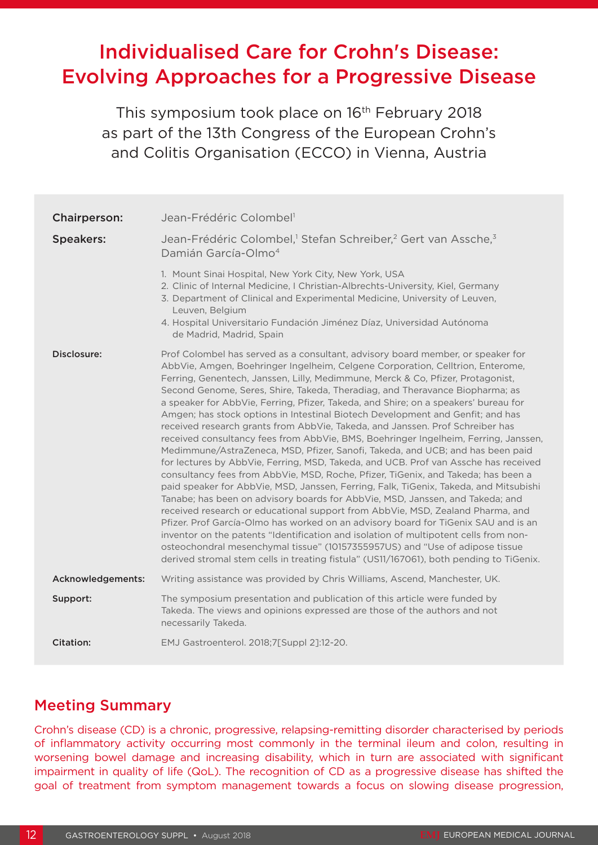# Individualised Care for Crohn's Disease: Evolving Approaches for a Progressive Disease

This symposium took place on 16<sup>th</sup> February 2018 as part of the 13th Congress of the European Crohn's and Colitis Organisation (ECCO) in Vienna, Austria

| Chairperson:      | Jean-Frédéric Colombel <sup>1</sup>                                                                                                                                                                                                                                                                                                                                                                                                                                                                                                                                                                                                                                                                                                                                                                                                                                                                                                                                                                                                                                                                                                                                                                                                                                                                                                                                                                                                                                                                                                                                      |
|-------------------|--------------------------------------------------------------------------------------------------------------------------------------------------------------------------------------------------------------------------------------------------------------------------------------------------------------------------------------------------------------------------------------------------------------------------------------------------------------------------------------------------------------------------------------------------------------------------------------------------------------------------------------------------------------------------------------------------------------------------------------------------------------------------------------------------------------------------------------------------------------------------------------------------------------------------------------------------------------------------------------------------------------------------------------------------------------------------------------------------------------------------------------------------------------------------------------------------------------------------------------------------------------------------------------------------------------------------------------------------------------------------------------------------------------------------------------------------------------------------------------------------------------------------------------------------------------------------|
| <b>Speakers:</b>  | Jean-Frédéric Colombel, <sup>1</sup> Stefan Schreiber, <sup>2</sup> Gert van Assche, <sup>3</sup><br>Damián García-Olmo <sup>4</sup>                                                                                                                                                                                                                                                                                                                                                                                                                                                                                                                                                                                                                                                                                                                                                                                                                                                                                                                                                                                                                                                                                                                                                                                                                                                                                                                                                                                                                                     |
|                   | 1. Mount Sinai Hospital, New York City, New York, USA<br>2. Clinic of Internal Medicine, I Christian-Albrechts-University, Kiel, Germany<br>3. Department of Clinical and Experimental Medicine, University of Leuven,<br>Leuven, Belgium<br>4. Hospital Universitario Fundación Jiménez Díaz, Universidad Autónoma<br>de Madrid, Madrid, Spain                                                                                                                                                                                                                                                                                                                                                                                                                                                                                                                                                                                                                                                                                                                                                                                                                                                                                                                                                                                                                                                                                                                                                                                                                          |
| Disclosure:       | Prof Colombel has served as a consultant, advisory board member, or speaker for<br>AbbVie, Amgen, Boehringer Ingelheim, Celgene Corporation, Celltrion, Enterome,<br>Ferring, Genentech, Janssen, Lilly, Medimmune, Merck & Co, Pfizer, Protagonist,<br>Second Genome, Seres, Shire, Takeda, Theradiag, and Theravance Biopharma; as<br>a speaker for AbbVie, Ferring, Pfizer, Takeda, and Shire; on a speakers' bureau for<br>Amgen; has stock options in Intestinal Biotech Development and Genfit; and has<br>received research grants from AbbVie, Takeda, and Janssen. Prof Schreiber has<br>received consultancy fees from AbbVie, BMS, Boehringer Ingelheim, Ferring, Janssen,<br>Medimmune/AstraZeneca, MSD, Pfizer, Sanofi, Takeda, and UCB; and has been paid<br>for lectures by AbbVie, Ferring, MSD, Takeda, and UCB. Prof van Assche has received<br>consultancy fees from AbbVie, MSD, Roche, Pfizer, TiGenix, and Takeda; has been a<br>paid speaker for AbbVie, MSD, Janssen, Ferring, Falk, TiGenix, Takeda, and Mitsubishi<br>Tanabe; has been on advisory boards for AbbVie, MSD, Janssen, and Takeda; and<br>received research or educational support from AbbVie, MSD, Zealand Pharma, and<br>Pfizer. Prof García-Olmo has worked on an advisory board for TiGenix SAU and is an<br>inventor on the patents "Identification and isolation of multipotent cells from non-<br>osteochondral mesenchymal tissue" (10157355957US) and "Use of adipose tissue<br>derived stromal stem cells in treating fistula" (US11/167061), both pending to TiGenix. |
| Acknowledgements: | Writing assistance was provided by Chris Williams, Ascend, Manchester, UK.                                                                                                                                                                                                                                                                                                                                                                                                                                                                                                                                                                                                                                                                                                                                                                                                                                                                                                                                                                                                                                                                                                                                                                                                                                                                                                                                                                                                                                                                                               |
| Support:          | The symposium presentation and publication of this article were funded by<br>Takeda. The views and opinions expressed are those of the authors and not<br>necessarily Takeda.                                                                                                                                                                                                                                                                                                                                                                                                                                                                                                                                                                                                                                                                                                                                                                                                                                                                                                                                                                                                                                                                                                                                                                                                                                                                                                                                                                                            |
| <b>Citation:</b>  | EMJ Gastroenterol. 2018;7[Suppl 2]:12-20.                                                                                                                                                                                                                                                                                                                                                                                                                                                                                                                                                                                                                                                                                                                                                                                                                                                                                                                                                                                                                                                                                                                                                                                                                                                                                                                                                                                                                                                                                                                                |

## Meeting Summary

Crohn's disease (CD) is a chronic, progressive, relapsing-remitting disorder characterised by periods of inflammatory activity occurring most commonly in the terminal ileum and colon, resulting in worsening bowel damage and increasing disability, which in turn are associated with significant impairment in quality of life (QoL). The recognition of CD as a progressive disease has shifted the goal of treatment from symptom management towards a focus on slowing disease progression,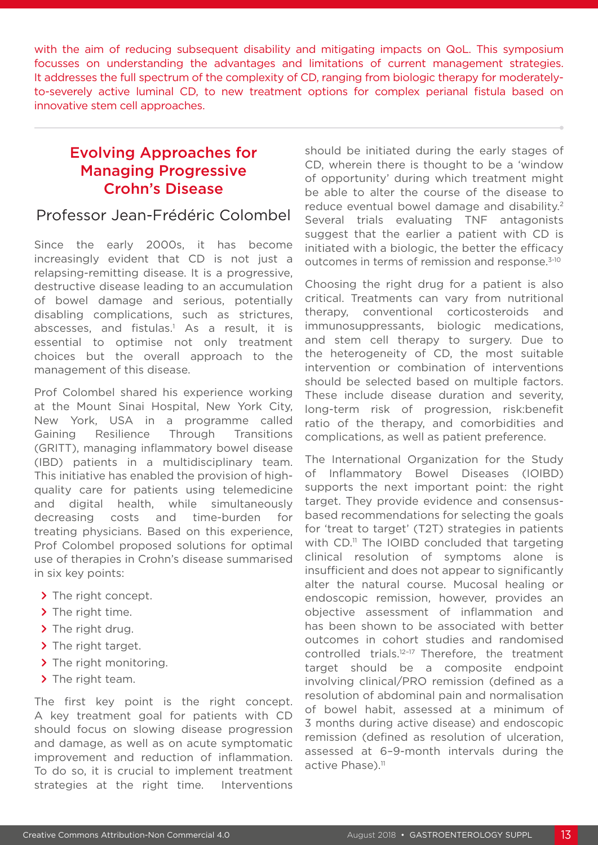with the aim of reducing subsequent disability and mitigating impacts on QoL. This symposium focusses on understanding the advantages and limitations of current management strategies. It addresses the full spectrum of the complexity of CD, ranging from biologic therapy for moderatelyto-severely active luminal CD, to new treatment options for complex perianal fistula based on innovative stem cell approaches.

## Evolving Approaches for Managing Progressive Crohn's Disease

#### Professor Jean-Frédéric Colombel

Since the early 2000s, it has become increasingly evident that CD is not just a relapsing-remitting disease. It is a progressive, destructive disease leading to an accumulation of bowel damage and serious, potentially disabling complications, such as strictures, abscesses, and fistulas.<sup>1</sup> As a result, it is essential to optimise not only treatment choices but the overall approach to the management of this disease.

Prof Colombel shared his experience working at the Mount Sinai Hospital, New York City, New York, USA in a programme called Gaining Resilience Through Transitions (GRITT), managing inflammatory bowel disease (IBD) patients in a multidisciplinary team. This initiative has enabled the provision of highquality care for patients using telemedicine and digital health, while simultaneously decreasing costs and time-burden for treating physicians. Based on this experience, Prof Colombel proposed solutions for optimal use of therapies in Crohn's disease summarised in six key points:

- **>** The right concept.
- **>** The right time.
- **>** The right drug.
- **>** The right target.
- **>** The right monitoring.
- **>** The right team.

The first key point is the right concept. A key treatment goal for patients with CD should focus on slowing disease progression and damage, as well as on acute symptomatic improvement and reduction of inflammation. To do so, it is crucial to implement treatment strategies at the right time. Interventions

should be initiated during the early stages of CD, wherein there is thought to be a 'window of opportunity' during which treatment might be able to alter the course of the disease to reduce eventual bowel damage and disability.<sup>2</sup> Several trials evaluating TNF antagonists suggest that the earlier a patient with CD is initiated with a biologic, the better the efficacy outcomes in terms of remission and response.3-10

Choosing the right drug for a patient is also critical. Treatments can vary from nutritional therapy, conventional corticosteroids and immunosuppressants, biologic medications, and stem cell therapy to surgery. Due to the heterogeneity of CD, the most suitable intervention or combination of interventions should be selected based on multiple factors. These include disease duration and severity, long-term risk of progression, risk:benefit ratio of the therapy, and comorbidities and complications, as well as patient preference.

The International Organization for the Study of Inflammatory Bowel Diseases (IOIBD) supports the next important point: the right target. They provide evidence and consensusbased recommendations for selecting the goals for 'treat to target' (T2T) strategies in patients with  $CD$ <sup>11</sup> The IOIBD concluded that targeting clinical resolution of symptoms alone is insufficient and does not appear to significantly alter the natural course. Mucosal healing or endoscopic remission, however, provides an objective assessment of inflammation and has been shown to be associated with better outcomes in cohort studies and randomised controlled trials.<sup>12-17</sup> Therefore, the treatment target should be a composite endpoint involving clinical/PRO remission (defined as a resolution of abdominal pain and normalisation of bowel habit, assessed at a minimum of 3 months during active disease) and endoscopic remission (defined as resolution of ulceration, assessed at 6–9-month intervals during the active Phase).<sup>11</sup>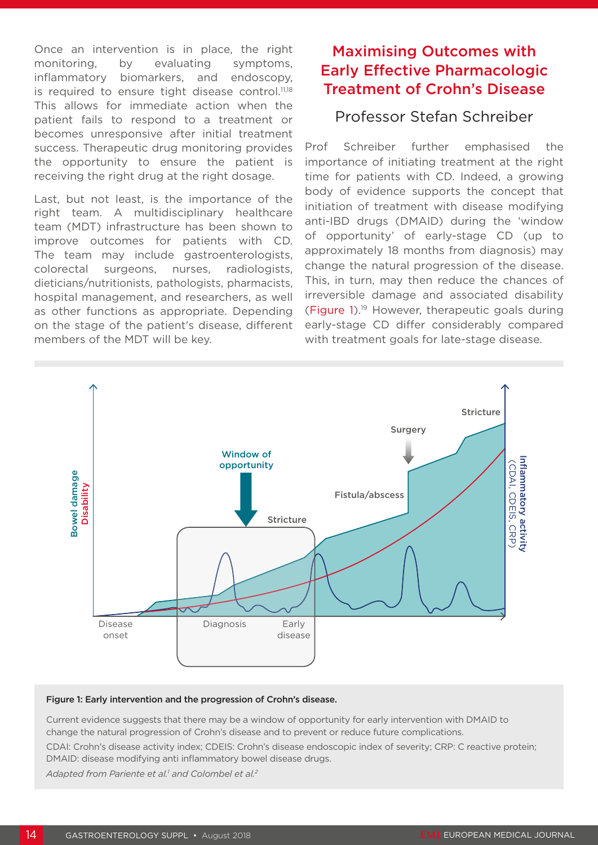Once an intervention is in place, the right monitoring, by evaluating symptoms, inflammatory biomarkers, and endoscopy, is required to ensure tight disease control.<sup>11,18</sup> This allows for immediate action when the patient fails to respond to a treatment or becomes unresponsive after initial treatment success. Therapeutic drug monitoring provides the opportunity to ensure the patient is receiving the right drug at the right dosage.

Last, but not least, is the importance of the right team. A multidisciplinary healthcare team (MDT) infrastructure has been shown to improve outcomes for patients with CD. The team may include gastroenterologists, colorectal surgeons, nurses, radiologists, dieticians/nutritionists, pathologists, pharmacists, hospital management, and researchers, as well as other functions as appropriate. Depending on the stage of the patient's disease, different members of the MDT will be key.

## Maximising Outcomes with Early Effective Pharmacologic Treatment of Crohn's Disease

### Professor Stefan Schreiber

Prof Schreiber further emphasised the importance of initiating treatment at the right time for patients with CD. Indeed, a growing body of evidence supports the concept that initiation of treatment with disease modifying anti-IBD drugs (DMAID) during the 'window of opportunity' of early-stage CD (up to approximately 18 months from diagnosis) may change the natural progression of the disease. This, in turn, may then reduce the chances of irreversible damage and associated disability (Figure 1).19 However, therapeutic goals during early-stage CD differ considerably compared with treatment goals for late-stage disease.



#### Figure 1: Early intervention and the progression of Crohn's disease.

Current evidence suggests that there may be a window of opportunity for early intervention with DMAID to change the natural progression of Crohn's disease and to prevent or reduce future complications.

CDAI: Crohn's disease activity index; CDEIS: Crohn's disease endoscopic index of severity; CRP: C reactive protein; DMAID: disease modifying anti inflammatory bowel disease drugs.

Adapted from Pariente et al.<sup>1</sup> and Colombel et al.<sup>2</sup>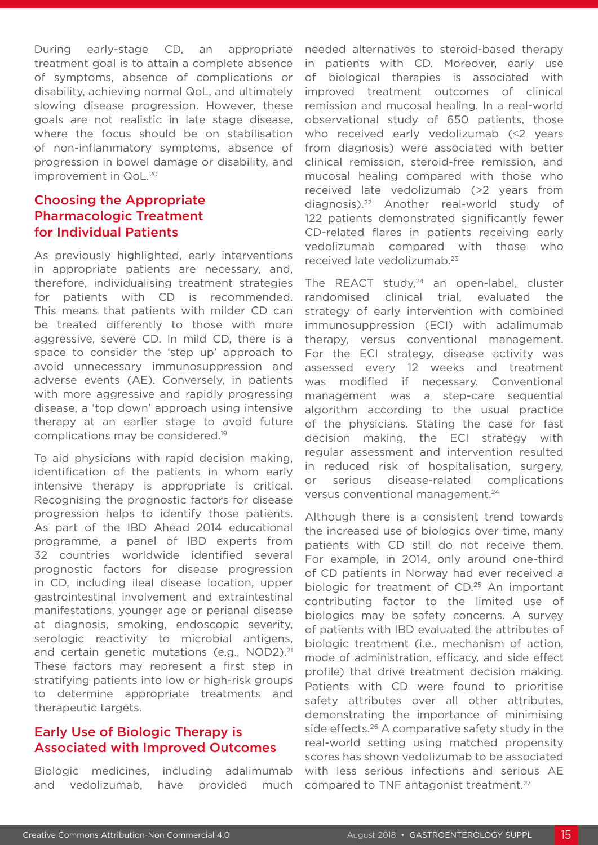During early-stage CD, an appropriate treatment goal is to attain a complete absence of symptoms, absence of complications or disability, achieving normal QoL, and ultimately slowing disease progression. However, these goals are not realistic in late stage disease, where the focus should be on stabilisation of non-inflammatory symptoms, absence of progression in bowel damage or disability, and improvement in QoL.20

#### Choosing the Appropriate Pharmacologic Treatment for Individual Patients

As previously highlighted, early interventions in appropriate patients are necessary, and, therefore, individualising treatment strategies for patients with CD is recommended. This means that patients with milder CD can be treated differently to those with more aggressive, severe CD. In mild CD, there is a space to consider the 'step up' approach to avoid unnecessary immunosuppression and adverse events (AE). Conversely, in patients with more aggressive and rapidly progressing disease, a 'top down' approach using intensive therapy at an earlier stage to avoid future complications may be considered.19

To aid physicians with rapid decision making, identification of the patients in whom early intensive therapy is appropriate is critical. Recognising the prognostic factors for disease progression helps to identify those patients. As part of the IBD Ahead 2014 educational programme, a panel of IBD experts from 32 countries worldwide identified several prognostic factors for disease progression in CD, including ileal disease location, upper gastrointestinal involvement and extraintestinal manifestations, younger age or perianal disease at diagnosis, smoking, endoscopic severity, serologic reactivity to microbial antigens, and certain genetic mutations (e.g., NOD2).<sup>21</sup> These factors may represent a first step in stratifying patients into low or high-risk groups to determine appropriate treatments and therapeutic targets.

#### Early Use of Biologic Therapy is Associated with Improved Outcomes

Biologic medicines, including adalimumab and vedolizumab, have provided much needed alternatives to steroid-based therapy in patients with CD. Moreover, early use of biological therapies is associated with improved treatment outcomes of clinical remission and mucosal healing. In a real-world observational study of 650 patients, those who received early vedolizumab (≤2 years from diagnosis) were associated with better clinical remission, steroid-free remission, and mucosal healing compared with those who received late vedolizumab (>2 years from diagnosis).22 Another real-world study of 122 patients demonstrated significantly fewer CD-related flares in patients receiving early vedolizumab compared with those who received late vedolizumab.23

The REACT study, $24$  an open-label, cluster randomised clinical trial, evaluated the strategy of early intervention with combined immunosuppression (ECI) with adalimumab therapy, versus conventional management. For the ECI strategy, disease activity was assessed every 12 weeks and treatment was modified if necessary. Conventional management was a step-care sequential algorithm according to the usual practice of the physicians. Stating the case for fast decision making, the ECI strategy with regular assessment and intervention resulted in reduced risk of hospitalisation, surgery, or serious disease-related complications versus conventional management.24

Although there is a consistent trend towards the increased use of biologics over time, many patients with CD still do not receive them. For example, in 2014, only around one-third of CD patients in Norway had ever received a biologic for treatment of CD.<sup>25</sup> An important contributing factor to the limited use of biologics may be safety concerns. A survey of patients with IBD evaluated the attributes of biologic treatment (i.e., mechanism of action, mode of administration, efficacy, and side effect profile) that drive treatment decision making. Patients with CD were found to prioritise safety attributes over all other attributes, demonstrating the importance of minimising side effects.<sup>26</sup> A comparative safety study in the real-world setting using matched propensity scores has shown vedolizumab to be associated with less serious infections and serious AE compared to TNF antagonist treatment.27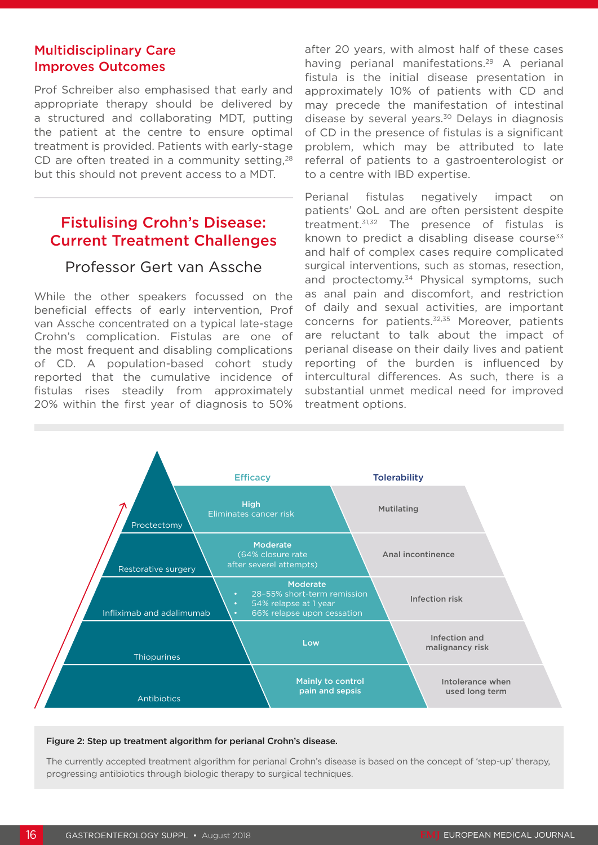#### Multidisciplinary Care Improves Outcomes

Prof Schreiber also emphasised that early and appropriate therapy should be delivered by a structured and collaborating MDT, putting the patient at the centre to ensure optimal treatment is provided. Patients with early-stage CD are often treated in a community setting, $28$ but this should not prevent access to a MDT.

### Fistulising Crohn's Disease: Current Treatment Challenges

#### Professor Gert van Assche

While the other speakers focussed on the beneficial effects of early intervention, Prof van Assche concentrated on a typical late-stage Crohn's complication. Fistulas are one of the most frequent and disabling complications of CD. A population-based cohort study reported that the cumulative incidence of fistulas rises steadily from approximately 20% within the first year of diagnosis to 50%

after 20 years, with almost half of these cases having perianal manifestations.<sup>29</sup> A perianal fistula is the initial disease presentation in approximately 10% of patients with CD and may precede the manifestation of intestinal disease by several years.<sup>30</sup> Delays in diagnosis of CD in the presence of fistulas is a significant problem, which may be attributed to late referral of patients to a gastroenterologist or to a centre with IBD expertise.

Perianal fistulas negatively impact on patients' QoL and are often persistent despite treatment.31,32 The presence of fistulas is known to predict a disabling disease course $33$ and half of complex cases require complicated surgical interventions, such as stomas, resection, and proctectomy.<sup>34</sup> Physical symptoms, such as anal pain and discomfort, and restriction of daily and sexual activities, are important concerns for patients.32,35 Moreover, patients are reluctant to talk about the impact of perianal disease on their daily lives and patient reporting of the burden is influenced by intercultural differences. As such, there is a substantial unmet medical need for improved treatment options.



#### Figure 2: Step up treatment algorithm for perianal Crohn's disease.

The currently accepted treatment algorithm for perianal Crohn's disease is based on the concept of 'step-up' therapy, progressing antibiotics through biologic therapy to surgical techniques.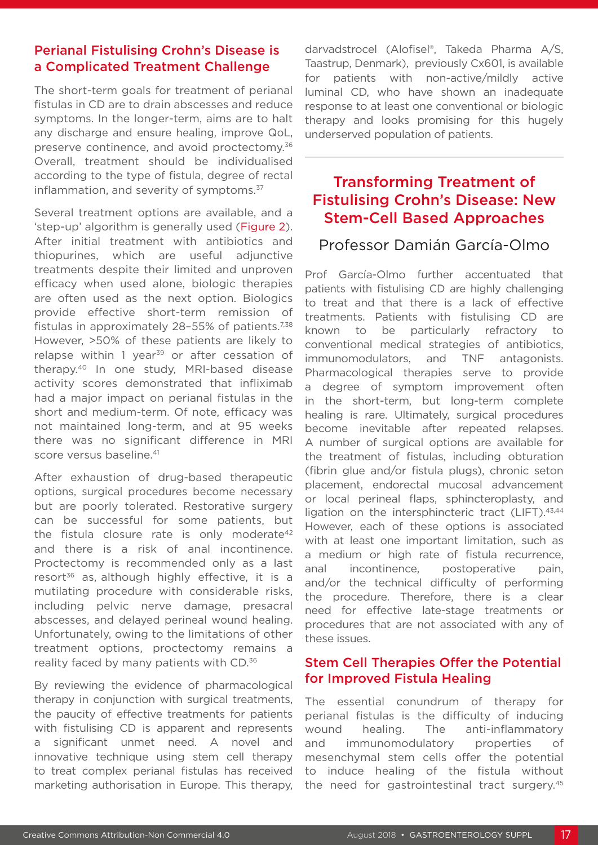#### Perianal Fistulising Crohn's Disease is a Complicated Treatment Challenge

The short-term goals for treatment of perianal fistulas in CD are to drain abscesses and reduce symptoms. In the longer-term, aims are to halt any discharge and ensure healing, improve QoL, preserve continence, and avoid proctectomy.<sup>36</sup> Overall, treatment should be individualised according to the type of fistula, degree of rectal inflammation, and severity of symptoms.<sup>37</sup>

Several treatment options are available, and a 'step-up' algorithm is generally used (Figure 2). After initial treatment with antibiotics and thiopurines, which are useful adjunctive treatments despite their limited and unproven efficacy when used alone, biologic therapies are often used as the next option. Biologics provide effective short-term remission of fistulas in approximately 28-55% of patients.<sup>7,38</sup> However, >50% of these patients are likely to relapse within 1 year<sup>39</sup> or after cessation of therapy.40 In one study, MRI-based disease activity scores demonstrated that infliximab had a major impact on perianal fistulas in the short and medium-term. Of note, efficacy was not maintained long-term, and at 95 weeks there was no significant difference in MRI score versus baseline.<sup>41</sup>

After exhaustion of drug-based therapeutic options, surgical procedures become necessary but are poorly tolerated. Restorative surgery can be successful for some patients, but the fistula closure rate is only moderate<sup>42</sup> and there is a risk of anal incontinence. Proctectomy is recommended only as a last resort<sup>36</sup> as, although highly effective, it is a mutilating procedure with considerable risks, including pelvic nerve damage, presacral abscesses, and delayed perineal wound healing. Unfortunately, owing to the limitations of other treatment options, proctectomy remains a reality faced by many patients with CD.36

By reviewing the evidence of pharmacological therapy in conjunction with surgical treatments, the paucity of effective treatments for patients with fistulising CD is apparent and represents a significant unmet need. A novel and innovative technique using stem cell therapy to treat complex perianal fistulas has received marketing authorisation in Europe. This therapy,

darvadstrocel (Alofisel®, Takeda Pharma A/S, Taastrup, Denmark), previously Cx601, is available for patients with non-active/mildly active luminal CD, who have shown an inadequate response to at least one conventional or biologic therapy and looks promising for this hugely underserved population of patients.

## Transforming Treatment of Fistulising Crohn's Disease: New Stem-Cell Based Approaches

### Professor Damián García-Olmo

Prof García-Olmo further accentuated that patients with fistulising CD are highly challenging to treat and that there is a lack of effective treatments. Patients with fistulising CD are known to be particularly refractory to conventional medical strategies of antibiotics, immunomodulators, and TNF antagonists. Pharmacological therapies serve to provide a degree of symptom improvement often in the short-term, but long-term complete healing is rare. Ultimately, surgical procedures become inevitable after repeated relapses. A number of surgical options are available for the treatment of fistulas, including obturation (fibrin glue and/or fistula plugs), chronic seton placement, endorectal mucosal advancement or local perineal flaps, sphincteroplasty, and ligation on the intersphincteric tract (LIFT).<sup>43,44</sup> However, each of these options is associated with at least one important limitation, such as a medium or high rate of fistula recurrence, anal incontinence, postoperative pain, and/or the technical difficulty of performing the procedure. Therefore, there is a clear need for effective late-stage treatments or procedures that are not associated with any of these issues.

#### Stem Cell Therapies Offer the Potential for Improved Fistula Healing

The essential conundrum of therapy for perianal fistulas is the difficulty of inducing wound healing. The anti-inflammatory and immunomodulatory properties of mesenchymal stem cells offer the potential to induce healing of the fistula without the need for gastrointestinal tract surgery.45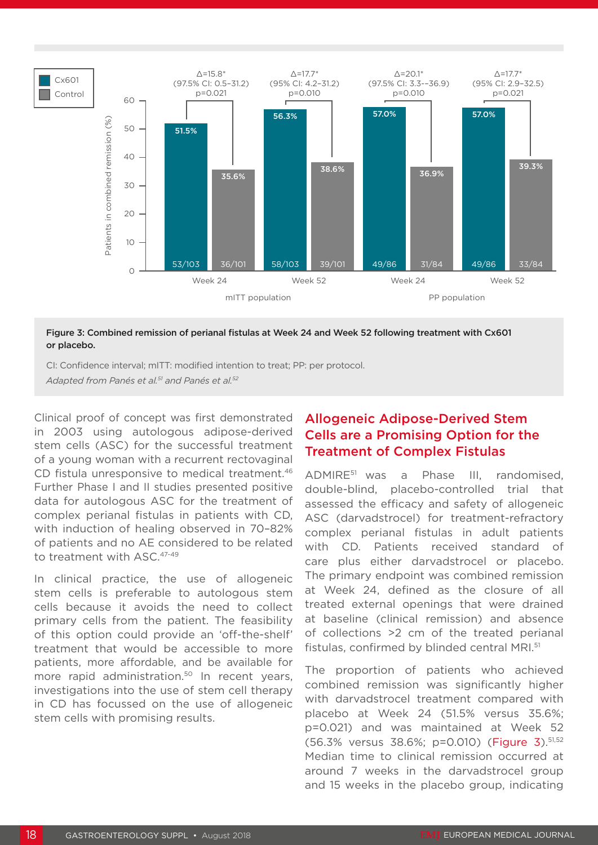

#### Figure 3: Combined remission of perianal fistulas at Week 24 and Week 52 following treatment with Cx601 or placebo.

CI: Confidence interval; mITT: modified intention to treat; PP: per protocol. *Adapted from Panés et al.51 and Panés et al.52*

Clinical proof of concept was first demonstrated in 2003 using autologous adipose-derived stem cells (ASC) for the successful treatment of a young woman with a recurrent rectovaginal CD fistula unresponsive to medical treatment.<sup>46</sup> Further Phase I and II studies presented positive data for autologous ASC for the treatment of complex perianal fistulas in patients with CD, with induction of healing observed in 70–82% of patients and no AE considered to be related to treatment with ASC.<sup>47-49</sup>

In clinical practice, the use of allogeneic stem cells is preferable to autologous stem cells because it avoids the need to collect primary cells from the patient. The feasibility of this option could provide an 'off-the-shelf' treatment that would be accessible to more patients, more affordable, and be available for more rapid administration.<sup>50</sup> In recent years, investigations into the use of stem cell therapy in CD has focussed on the use of allogeneic stem cells with promising results.

#### Allogeneic Adipose-Derived Stem Cells are a Promising Option for the Treatment of Complex Fistulas

ADMIRE51 was a Phase III, randomised, double-blind, placebo-controlled trial that assessed the efficacy and safety of allogeneic ASC (darvadstrocel) for treatment-refractory complex perianal fistulas in adult patients with CD. Patients received standard of care plus either darvadstrocel or placebo. The primary endpoint was combined remission at Week 24, defined as the closure of all treated external openings that were drained at baseline (clinical remission) and absence of collections >2 cm of the treated perianal fistulas, confirmed by blinded central MRI.51

The proportion of patients who achieved combined remission was significantly higher with darvadstrocel treatment compared with placebo at Week 24 (51.5% versus 35.6%; p=0.021) and was maintained at Week 52 (56.3% versus 38.6%; p=0.010) (Figure 3).51,52 Median time to clinical remission occurred at around 7 weeks in the darvadstrocel group and 15 weeks in the placebo group, indicating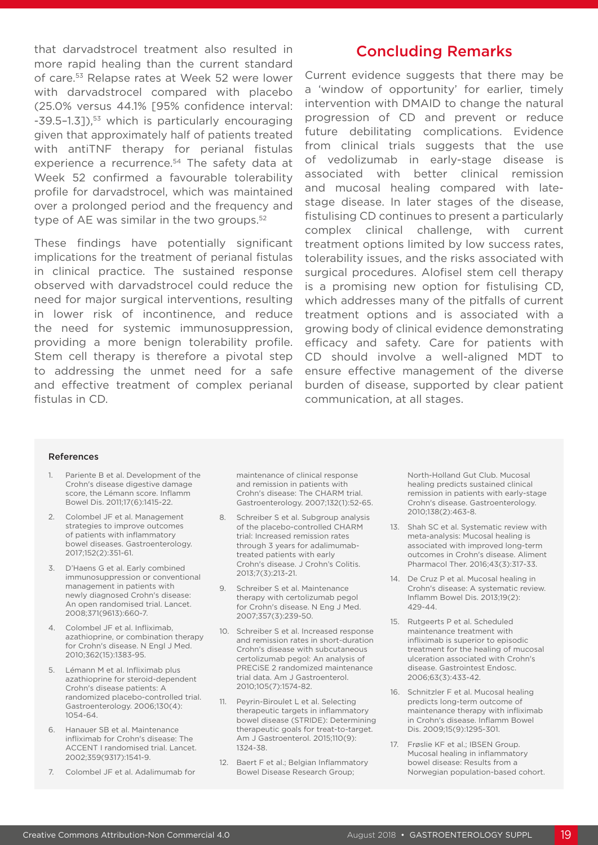that darvadstrocel treatment also resulted in more rapid healing than the current standard of care.53 Relapse rates at Week 52 were lower with darvadstrocel compared with placebo (25.0% versus 44.1% [95% confidence interval: -39.5-1.3]),<sup>53</sup> which is particularly encouraging given that approximately half of patients treated with antiTNF therapy for perianal fistulas experience a recurrence.<sup>54</sup> The safety data at Week 52 confirmed a favourable tolerability profile for darvadstrocel, which was maintained over a prolonged period and the frequency and type of AE was similar in the two groups.<sup>52</sup>

These findings have potentially significant implications for the treatment of perianal fistulas in clinical practice. The sustained response observed with darvadstrocel could reduce the need for major surgical interventions, resulting in lower risk of incontinence, and reduce the need for systemic immunosuppression, providing a more benign tolerability profile. Stem cell therapy is therefore a pivotal step to addressing the unmet need for a safe and effective treatment of complex perianal fistulas in CD.

### Concluding Remarks

Current evidence suggests that there may be a 'window of opportunity' for earlier, timely intervention with DMAID to change the natural progression of CD and prevent or reduce future debilitating complications. Evidence from clinical trials suggests that the use of vedolizumab in early-stage disease is associated with better clinical remission and mucosal healing compared with latestage disease. In later stages of the disease, fistulising CD continues to present a particularly complex clinical challenge, with current treatment options limited by low success rates, tolerability issues, and the risks associated with surgical procedures. Alofisel stem cell therapy is a promising new option for fistulising CD, which addresses many of the pitfalls of current treatment options and is associated with a growing body of clinical evidence demonstrating efficacy and safety. Care for patients with CD should involve a well-aligned MDT to ensure effective management of the diverse burden of disease, supported by clear patient communication, at all stages.

#### References

- 1. Pariente B et al. Development of the Crohn's disease digestive damage score, the Lémann score. Inflamm Bowel Dis. 2011;17(6):1415-22.
- 2. Colombel JF et al. Management strategies to improve outcomes of patients with inflammatory bowel diseases. Gastroenterology. 2017;152(2):351-61.
- 3. D'Haens G et al. Early combined immunosuppression or conventional management in patients with newly diagnosed Crohn's disease: An open randomised trial. Lancet. 2008;371(9613):660-7.
- 4. Colombel JF et al. Infliximab, azathioprine, or combination therapy for Crohn's disease. N Engl J Med. 2010;362(15):1383-95.
- 5. Lémann M et al. Infliximab plus azathioprine for steroid-dependent Crohn's disease patients: A randomized placebo-controlled trial. Gastroenterology. 2006;130(4): 1054-64.
- 6. Hanauer SB et al. Maintenance infliximab for Crohn's disease: The ACCENT I randomised trial. Lancet. 2002;359(9317):1541-9.
- 7. Colombel JF et al. Adalimumab for

maintenance of clinical response and remission in patients with Crohn's disease: The CHARM trial. Gastroenterology. 2007;132(1):52-65.

- Schreiber S et al. Subgroup analysis of the placebo-controlled CHARM trial: Increased remission rates through 3 years for adalimumabtreated patients with early Crohn's disease. J Crohn's Colitis. 2013;7(3):213-21.
- 9. Schreiber S et al. Maintenance therapy with certolizumab pegol for Crohn's disease. N Eng J Med. 2007;357(3):239-50.
- 10. Schreiber S et al. Increased response and remission rates in short-duration Crohn's disease with subcutaneous certolizumab pegol: An analysis of PRECiSE 2 randomized maintenance trial data. Am J Gastroenterol. 2010;105(7):1574-82.
- 11. Peyrin-Biroulet L et al. Selecting therapeutic targets in inflammatory bowel disease (STRIDE): Determining therapeutic goals for treat-to-target. Am J Gastroenterol. 2015;110(9): 1324-38.
- 12. Baert F et al.; Belgian Inflammatory Bowel Disease Research Group;

North-Holland Gut Club. Mucosal healing predicts sustained clinical remission in patients with early-stage Crohn's disease. Gastroenterology. 2010;138(2):463-8.

- 13. Shah SC et al. Systematic review with meta-analysis: Mucosal healing is associated with improved long-term outcomes in Crohn's disease. Aliment Pharmacol Ther. 2016;43(3):317-33.
- 14. De Cruz P et al. Mucosal healing in Crohn's disease: A systematic review. Inflamm Bowel Dis. 2013;19(2): 429-44.
- 15. Rutgeerts P et al. Scheduled maintenance treatment with infliximab is superior to episodic treatment for the healing of mucosal ulceration associated with Crohn's disease. Gastrointest Endosc. 2006;63(3):433-42.
- 16. Schnitzler F et al. Mucosal healing predicts long-term outcome of maintenance therapy with infliximab in Crohn's disease. Inflamm Bowel Dis. 2009;15(9):1295-301.
- 17. Frøslie KF et al.; IBSEN Group. Mucosal healing in inflammatory bowel disease: Results from a Norwegian population-based cohort.